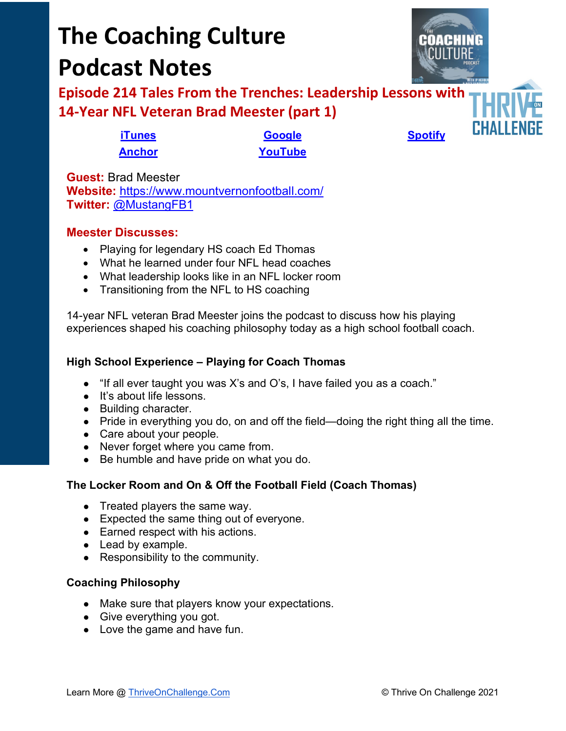# **The Coaching Culture Podcast Notes**



**Episode 214 Tales From the Trenches: Leadership Lessons with 14-Year NFL Veteran Brad Meester (part 1)**

**[iTunes](https://tinyurl.com/y68cvd4x) [Google](https://tinyurl.com/xhduf9bw) [Spotify](https://tinyurl.com/3sf9cp5h) [Anchor](https://tinyurl.com/4yhexz6d) [YouTube](https://www.youtube.com/channel/UC3vIljCBzwHcPyVIx9kiHvw)**

**Guest:** Brad Meester **Website:** <https://www.mountvernonfootball.com/> **Twitter:** [@MustangFB1](https://twitter.com/MustangFB1)

# **Meester Discusses:**

- Playing for legendary HS coach Ed Thomas
- What he learned under four NFL head coaches
- What leadership looks like in an NFL locker room
- Transitioning from the NFL to HS coaching

14-year NFL veteran Brad Meester joins the podcast to discuss how his playing experiences shaped his coaching philosophy today as a high school football coach.

#### **High School Experience – Playing for Coach Thomas**

- "If all ever taught you was X's and O's, I have failed you as a coach."
- It's about life lessons.
- Building character.
- Pride in everything you do, on and off the field—doing the right thing all the time.
- Care about your people.
- Never forget where you came from.
- Be humble and have pride on what you do.

# **The Locker Room and On & Off the Football Field (Coach Thomas)**

- Treated players the same way.
- Expected the same thing out of everyone.
- Earned respect with his actions.
- Lead by example.
- Responsibility to the community.

# **Coaching Philosophy**

- Make sure that players know your expectations.
- Give everything you got.
- Love the game and have fun.